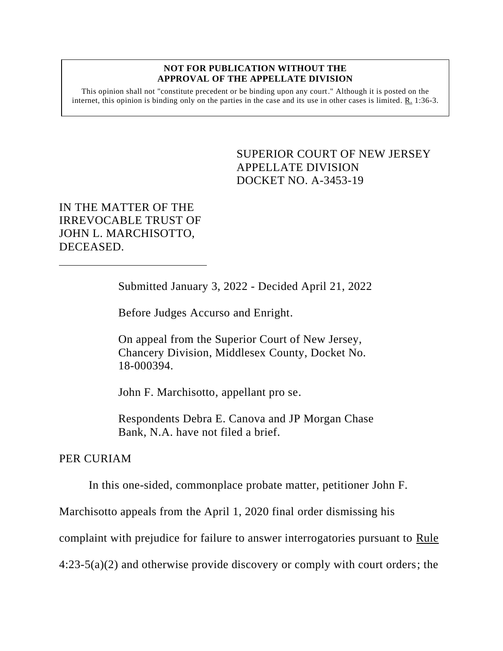#### **NOT FOR PUBLICATION WITHOUT THE APPROVAL OF THE APPELLATE DIVISION**

This opinion shall not "constitute precedent or be binding upon any court." Although it is posted on the internet, this opinion is binding only on the parties in the case and its use in other cases is limited. R. 1:36-3.

> <span id="page-0-0"></span>SUPERIOR COURT OF NEW JERSEY APPELLATE DIVISION DOCKET NO. A-3453-19

IN THE MATTER OF THE IRREVOCABLE TRUST OF JOHN L. MARCHISOTTO, DECEASED.

Submitted January 3, 2022 - Decided April 21, 2022

Before Judges Accurso and Enright.

On appeal from the Superior Court of New Jersey, Chancery Division, Middlesex County, Docket No. 18-000394.

John F. Marchisotto, appellant pro se.

Respondents Debra E. Canova and JP Morgan Chase Bank, N.A. have not filed a brief.

#### PER CURIAM

In this one-sided, commonplace probate matter, petitioner John F.

Marchisotto appeals from the April 1, 2020 final order dismissing his

complaint with prejudice for failure to answer interrogatories pursuant to Rule

4:23-5(a)(2) and otherwise provide discovery or comply with court orders; the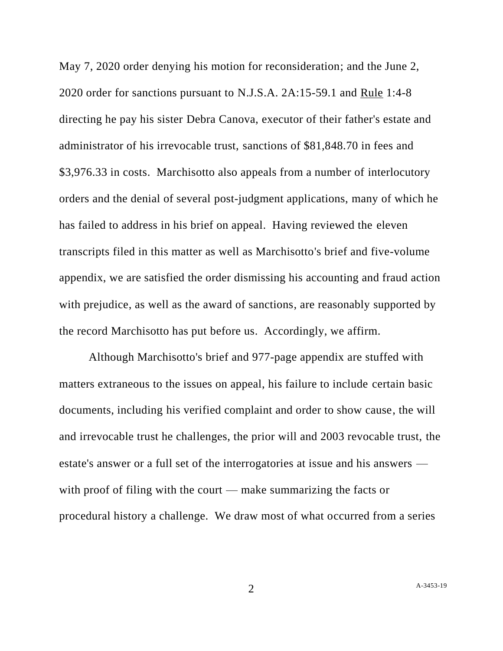May 7, 2020 order denying his motion for reconsideration; and the June 2, 2020 order for sanctions pursuant to N.J.S.A. 2A:15-59.1 and Rule 1:4-8 directing he pay his sister Debra Canova, executor of their father's estate and administrator of his irrevocable trust, sanctions of \$81,848.70 in fees and \$3,976.33 in costs. Marchisotto also appeals from a number of interlocutory orders and the denial of several post-judgment applications, many of which he has failed to address in his brief on appeal. Having reviewed the eleven transcripts filed in this matter as well as Marchisotto's brief and five-volume appendix, we are satisfied the order dismissing his accounting and fraud action with prejudice, as well as the award of sanctions, are reasonably supported by the record Marchisotto has put before us. Accordingly, we affirm.

Although Marchisotto's brief and 977-page appendix are stuffed with matters extraneous to the issues on appeal, his failure to include certain basic documents, including his verified complaint and order to show cause, the will and irrevocable trust he challenges, the prior will and 2003 revocable trust, the estate's answer or a full set of the interrogatories at issue and his answers with proof of filing with the court — make summarizing the facts or procedural history a challenge. We draw most of what occurred from a series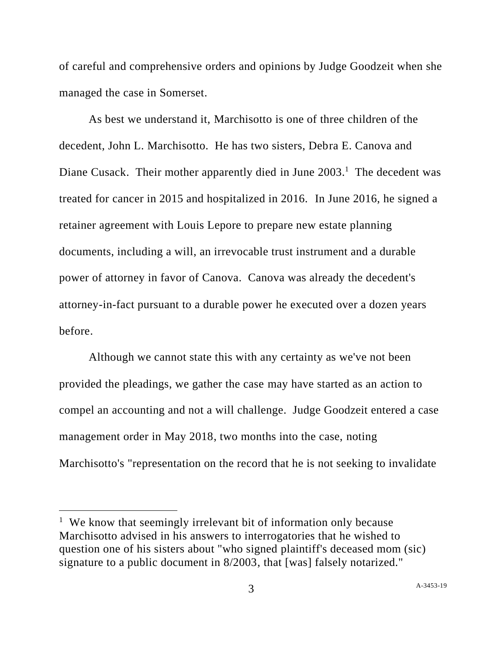of careful and comprehensive orders and opinions by Judge Goodzeit when she managed the case in Somerset.

As best we understand it, Marchisotto is one of three children of the decedent, John L. Marchisotto. He has two sisters, Debra E. Canova and Diane Cusack. Their mother apparently died in June  $2003<sup>1</sup>$ . The decedent was treated for cancer in 2015 and hospitalized in 2016. In June 2016, he signed a retainer agreement with Louis Lepore to prepare new estate planning documents, including a will, an irrevocable trust instrument and a durable power of attorney in favor of Canova. Canova was already the decedent's attorney-in-fact pursuant to a durable power he executed over a dozen years before.

Although we cannot state this with any certainty as we've not been provided the pleadings, we gather the case may have started as an action to compel an accounting and not a will challenge. Judge Goodzeit entered a case management order in May 2018, two months into the case, noting Marchisotto's "representation on the record that he is not seeking to invalidate

<sup>&</sup>lt;sup>1</sup> We know that seemingly irrelevant bit of information only because Marchisotto advised in his answers to interrogatories that he wished to question one of his sisters about "who signed plaintiff's deceased mom (sic) signature to a public document in 8/2003, that [was] falsely notarized."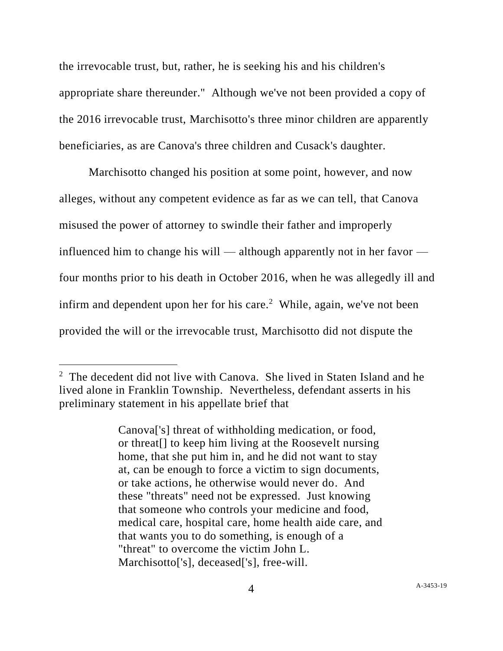the irrevocable trust, but, rather, he is seeking his and his children's appropriate share thereunder." Although we've not been provided a copy of the 2016 irrevocable trust, Marchisotto's three minor children are apparently beneficiaries, as are Canova's three children and Cusack's daughter.

Marchisotto changed his position at some point, however, and now alleges, without any competent evidence as far as we can tell, that Canova misused the power of attorney to swindle their father and improperly influenced him to change his will — although apparently not in her favor four months prior to his death in October 2016, when he was allegedly ill and infirm and dependent upon her for his care.<sup>2</sup> While, again, we've not been provided the will or the irrevocable trust, Marchisotto did not dispute the

<sup>&</sup>lt;sup>2</sup> The decedent did not live with Canova. She lived in Staten Island and he lived alone in Franklin Township. Nevertheless, defendant asserts in his preliminary statement in his appellate brief that

Canova['s] threat of withholding medication, or food, or threat[] to keep him living at the Roosevelt nursing home, that she put him in, and he did not want to stay at, can be enough to force a victim to sign documents, or take actions, he otherwise would never do. And these "threats" need not be expressed. Just knowing that someone who controls your medicine and food, medical care, hospital care, home health aide care, and that wants you to do something, is enough of a "threat" to overcome the victim John L. Marchisotto['s], deceased['s], free-will.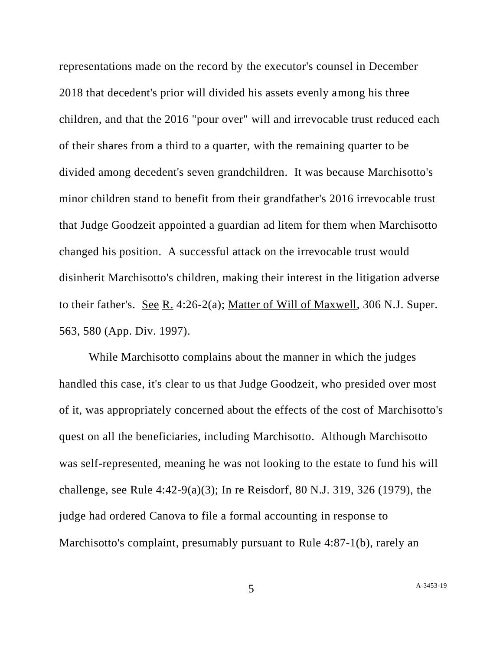representations made on the record by the executor's counsel in December 2018 that decedent's prior will divided his assets evenly among his three children, and that the 2016 "pour over" will and irrevocable trust reduced each of their shares from a third to a quarter, with the remaining quarter to be divided among decedent's seven grandchildren. It was because Marchisotto's minor children stand to benefit from their grandfather's 2016 irrevocable trust that Judge Goodzeit appointed a guardian ad litem for them when Marchisotto changed his position. A successful attack on the irrevocable trust would disinherit Marchisotto's children, making their interest in the litigation adverse to their father's. See R. 4:26-2(a); Matter of Will of Maxwell, 306 N.J. Super. 563, 580 (App. Div. 1997).

While Marchisotto complains about the manner in which the judges handled this case, it's clear to us that Judge Goodzeit, who presided over most of it, was appropriately concerned about the effects of the cost of Marchisotto's quest on all the beneficiaries, including Marchisotto. Although Marchisotto was self-represented, meaning he was not looking to the estate to fund his will challenge, see Rule 4:42-9(a)(3); In re Reisdorf, 80 N.J. 319, 326 (1979), the judge had ordered Canova to file a formal accounting in response to Marchisotto's complaint, presumably pursuant to Rule 4:87-1(b), rarely an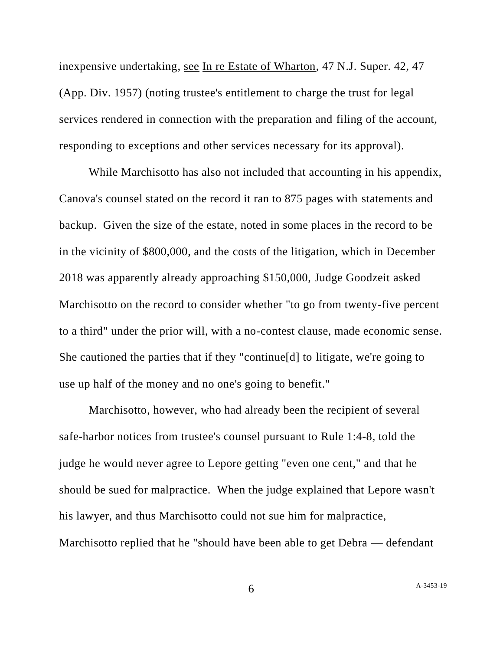inexpensive undertaking, see In re Estate of Wharton, 47 N.J. Super. 42, 47 (App. Div. 1957) (noting trustee's entitlement to charge the trust for legal services rendered in connection with the preparation and filing of the account, responding to exceptions and other services necessary for its approval).

While Marchisotto has also not included that accounting in his appendix, Canova's counsel stated on the record it ran to 875 pages with statements and backup. Given the size of the estate, noted in some places in the record to be in the vicinity of \$800,000, and the costs of the litigation, which in December 2018 was apparently already approaching \$150,000, Judge Goodzeit asked Marchisotto on the record to consider whether "to go from twenty-five percent to a third" under the prior will, with a no-contest clause, made economic sense. She cautioned the parties that if they "continue[d] to litigate, we're going to use up half of the money and no one's going to benefit."

Marchisotto, however, who had already been the recipient of several safe-harbor notices from trustee's counsel pursuant to Rule 1:4-8, told the judge he would never agree to Lepore getting "even one cent," and that he should be sued for malpractice. When the judge explained that Lepore wasn't his lawyer, and thus Marchisotto could not sue him for malpractice, Marchisotto replied that he "should have been able to get Debra — defendant

6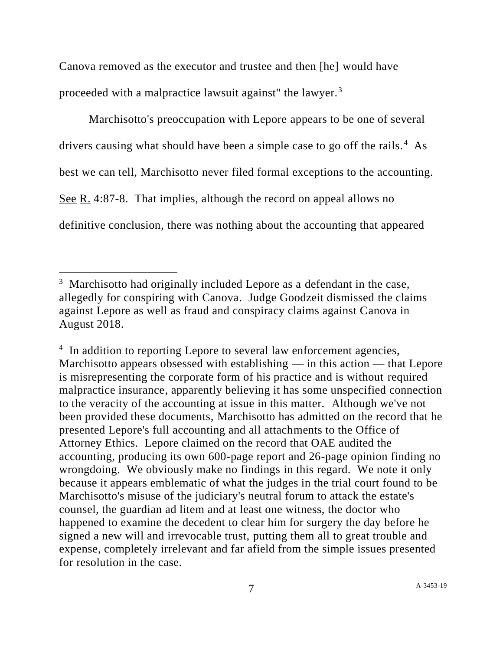Canova removed as the executor and trustee and then [he] would have proceeded with a malpractice lawsuit against" the lawyer.<sup>3</sup>

Marchisotto's preoccupation with Lepore appears to be one of several drivers causing what should have been a simple case to go off the rails.<sup>4</sup> As best we can tell, Marchisotto never filed formal exceptions to the accounting. See R. 4:87-8. That implies, although the record on appeal allows no definitive conclusion, there was nothing about the accounting that appeared

 $3$  Marchisotto had originally included Lepore as a defendant in the case, allegedly for conspiring with Canova. Judge Goodzeit dismissed the claims against Lepore as well as fraud and conspiracy claims against Canova in August 2018.

<sup>&</sup>lt;sup>4</sup> In addition to reporting Lepore to several law enforcement agencies, Marchisotto appears obsessed with establishing — in this action — that Lepore is misrepresenting the corporate form of his practice and is without required malpractice insurance, apparently believing it has some unspecified connection to the veracity of the accounting at issue in this matter. Although we've not been provided these documents, Marchisotto has admitted on the record that he presented Lepore's full accounting and all attachments to the Office of Attorney Ethics. Lepore claimed on the record that OAE audited the accounting, producing its own 600-page report and 26-page opinion finding no wrongdoing. We obviously make no findings in this regard. We note it only because it appears emblematic of what the judges in the trial court found to be Marchisotto's misuse of the judiciary's neutral forum to attack the estate's counsel, the guardian ad litem and at least one witness, the doctor who happened to examine the decedent to clear him for surgery the day before he signed a new will and irrevocable trust, putting them all to great trouble and expense, completely irrelevant and far afield from the simple issues presented for resolution in the case.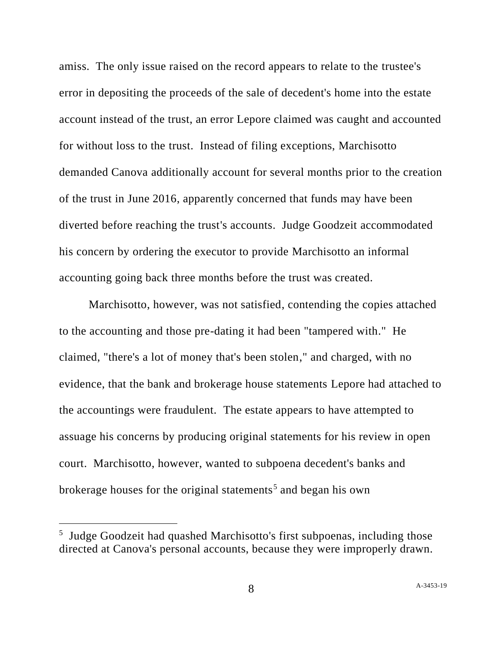amiss. The only issue raised on the record appears to relate to the trustee's error in depositing the proceeds of the sale of decedent's home into the estate account instead of the trust, an error Lepore claimed was caught and accounted for without loss to the trust. Instead of filing exceptions, Marchisotto demanded Canova additionally account for several months prior to the creation of the trust in June 2016, apparently concerned that funds may have been diverted before reaching the trust's accounts. Judge Goodzeit accommodated his concern by ordering the executor to provide Marchisotto an informal accounting going back three months before the trust was created.

Marchisotto, however, was not satisfied, contending the copies attached to the accounting and those pre-dating it had been "tampered with." He claimed, "there's a lot of money that's been stolen," and charged, with no evidence, that the bank and brokerage house statements Lepore had attached to the accountings were fraudulent. The estate appears to have attempted to assuage his concerns by producing original statements for his review in open court. Marchisotto, however, wanted to subpoena decedent's banks and brokerage houses for the original statements<sup>5</sup> and began his own

<sup>&</sup>lt;sup>5</sup> Judge Goodzeit had quashed Marchisotto's first subpoenas, including those directed at Canova's personal accounts, because they were improperly drawn.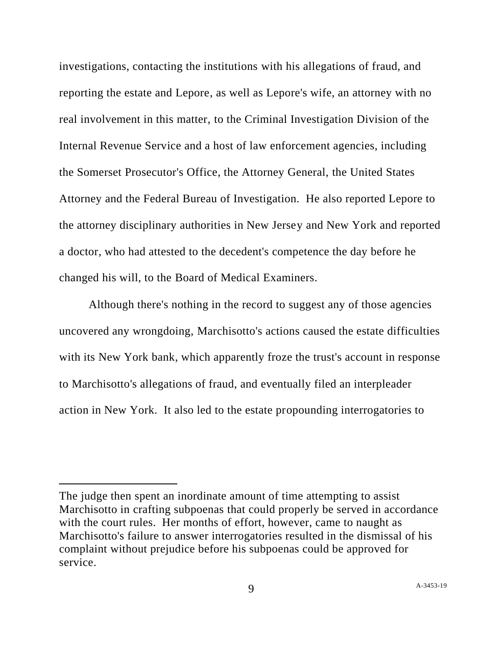investigations, contacting the institutions with his allegations of fraud, and reporting the estate and Lepore, as well as Lepore's wife, an attorney with no real involvement in this matter, to the Criminal Investigation Division of the Internal Revenue Service and a host of law enforcement agencies, including the Somerset Prosecutor's Office, the Attorney General, the United States Attorney and the Federal Bureau of Investigation. He also reported Lepore to the attorney disciplinary authorities in New Jersey and New York and reported a doctor, who had attested to the decedent's competence the day before he changed his will, to the Board of Medical Examiners.

Although there's nothing in the record to suggest any of those agencies uncovered any wrongdoing, Marchisotto's actions caused the estate difficulties with its New York bank, which apparently froze the trust's account in response to Marchisotto's allegations of fraud, and eventually filed an interpleader action in New York. It also led to the estate propounding interrogatories to

The judge then spent an inordinate amount of time attempting to assist Marchisotto in crafting subpoenas that could properly be served in accordance with the court rules. Her months of effort, however, came to naught as Marchisotto's failure to answer interrogatories resulted in the dismissal of his complaint without prejudice before his subpoenas could be approved for service.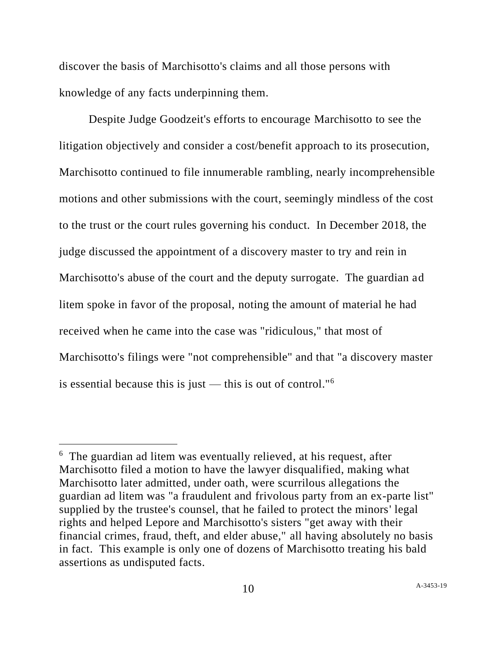discover the basis of Marchisotto's claims and all those persons with knowledge of any facts underpinning them.

Despite Judge Goodzeit's efforts to encourage Marchisotto to see the litigation objectively and consider a cost/benefit approach to its prosecution, Marchisotto continued to file innumerable rambling, nearly incomprehensible motions and other submissions with the court, seemingly mindless of the cost to the trust or the court rules governing his conduct. In December 2018, the judge discussed the appointment of a discovery master to try and rein in Marchisotto's abuse of the court and the deputy surrogate. The guardian ad litem spoke in favor of the proposal, noting the amount of material he had received when he came into the case was "ridiculous," that most of Marchisotto's filings were "not comprehensible" and that "a discovery master is essential because this is just — this is out of control."<sup>6</sup>

<sup>&</sup>lt;sup>6</sup> The guardian ad litem was eventually relieved, at his request, after Marchisotto filed a motion to have the lawyer disqualified, making what Marchisotto later admitted, under oath, were scurrilous allegations the guardian ad litem was "a fraudulent and frivolous party from an ex-parte list" supplied by the trustee's counsel, that he failed to protect the minors' legal rights and helped Lepore and Marchisotto's sisters "get away with their financial crimes, fraud, theft, and elder abuse," all having absolutely no basis in fact. This example is only one of dozens of Marchisotto treating his bald assertions as undisputed facts.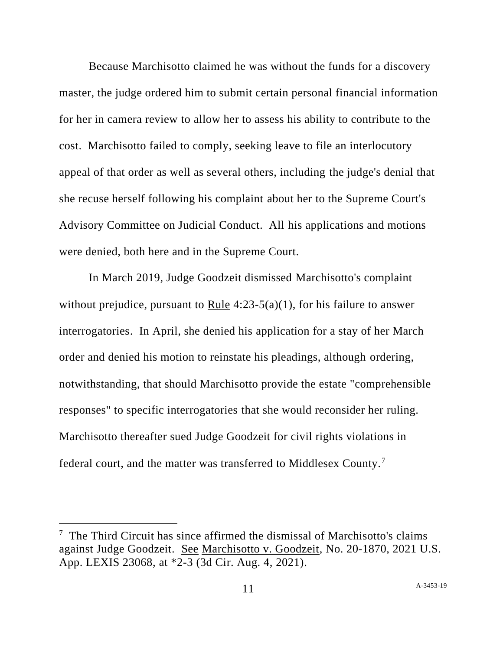Because Marchisotto claimed he was without the funds for a discovery master, the judge ordered him to submit certain personal financial information for her in camera review to allow her to assess his ability to contribute to the cost. Marchisotto failed to comply, seeking leave to file an interlocutory appeal of that order as well as several others, including the judge's denial that she recuse herself following his complaint about her to the Supreme Court's Advisory Committee on Judicial Conduct. All his applications and motions were denied, both here and in the Supreme Court.

In March 2019, Judge Goodzeit dismissed Marchisotto's complaint without prejudice, pursuant to Rule  $4:23-5(a)(1)$ , for his failure to answer interrogatories. In April, she denied his application for a stay of her March order and denied his motion to reinstate his pleadings, although ordering, notwithstanding, that should Marchisotto provide the estate "comprehensible responses" to specific interrogatories that she would reconsider her ruling. Marchisotto thereafter sued Judge Goodzeit for civil rights violations in federal court, and the matter was transferred to Middlesex County. <sup>7</sup>

<sup>&</sup>lt;sup>7</sup> The Third Circuit has since affirmed the dismissal of Marchisotto's claims against Judge Goodzeit. See Marchisotto v. Goodzeit, No. 20-1870, 2021 U.S. App. LEXIS 23068, at \*2-3 (3d Cir. Aug. 4, 2021).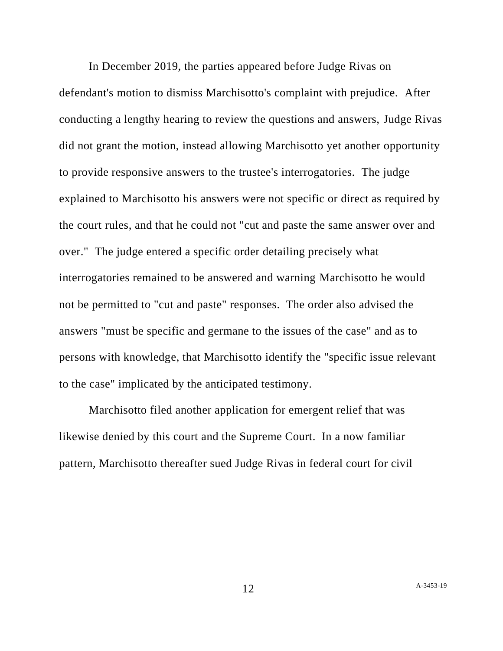In December 2019, the parties appeared before Judge Rivas on defendant's motion to dismiss Marchisotto's complaint with prejudice. After conducting a lengthy hearing to review the questions and answers, Judge Rivas did not grant the motion, instead allowing Marchisotto yet another opportunity to provide responsive answers to the trustee's interrogatories. The judge explained to Marchisotto his answers were not specific or direct as required by the court rules, and that he could not "cut and paste the same answer over and over." The judge entered a specific order detailing precisely what interrogatories remained to be answered and warning Marchisotto he would not be permitted to "cut and paste" responses. The order also advised the answers "must be specific and germane to the issues of the case" and as to persons with knowledge, that Marchisotto identify the "specific issue relevant to the case" implicated by the anticipated testimony.

Marchisotto filed another application for emergent relief that was likewise denied by this court and the Supreme Court. In a now familiar pattern, Marchisotto thereafter sued Judge Rivas in federal court for civil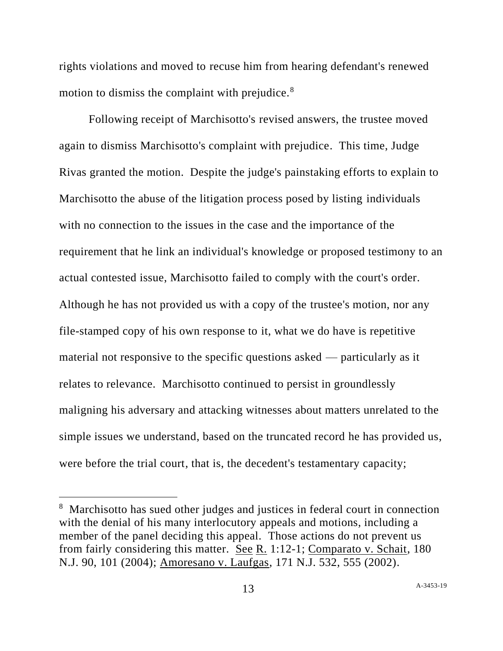rights violations and moved to recuse him from hearing defendant's renewed motion to dismiss the complaint with prejudice. $8<sup>8</sup>$ 

Following receipt of Marchisotto's revised answers, the trustee moved again to dismiss Marchisotto's complaint with prejudice. This time, Judge Rivas granted the motion. Despite the judge's painstaking efforts to explain to Marchisotto the abuse of the litigation process posed by listing individuals with no connection to the issues in the case and the importance of the requirement that he link an individual's knowledge or proposed testimony to an actual contested issue, Marchisotto failed to comply with the court's order. Although he has not provided us with a copy of the trustee's motion, nor any file-stamped copy of his own response to it, what we do have is repetitive material not responsive to the specific questions asked — particularly as it relates to relevance. Marchisotto continued to persist in groundlessly maligning his adversary and attacking witnesses about matters unrelated to the simple issues we understand, based on the truncated record he has provided us, were before the trial court, that is, the decedent's testamentary capacity;

<sup>&</sup>lt;sup>8</sup> Marchisotto has sued other judges and justices in federal court in connection with the denial of his many interlocutory appeals and motions, including a member of the panel deciding this appeal. Those actions do not prevent us from fairly considering this matter. See R. 1:12-1; Comparato v. Schait, 180 N.J. 90, 101 (2004); Amoresano v. Laufgas, 171 N.J. 532, 555 (2002).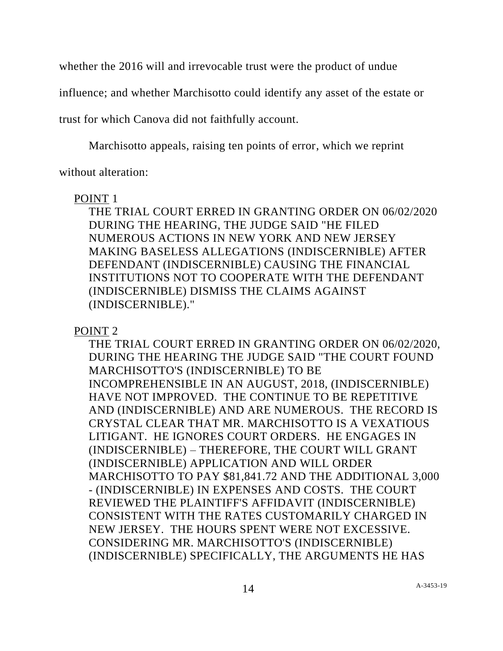whether the 2016 will and irrevocable trust were the product of undue

influence; and whether Marchisotto could identify any asset of the estate or

trust for which Canova did not faithfully account.

Marchisotto appeals, raising ten points of error, which we reprint

without alteration:

## POINT 1

THE TRIAL COURT ERRED IN GRANTING ORDER ON 06/02/2020 DURING THE HEARING, THE JUDGE SAID "HE FILED NUMEROUS ACTIONS IN NEW YORK AND NEW JERSEY MAKING BASELESS ALLEGATIONS (INDISCERNIBLE) AFTER DEFENDANT (INDISCERNIBLE) CAUSING THE FINANCIAL INSTITUTIONS NOT TO COOPERATE WITH THE DEFENDANT (INDISCERNIBLE) DISMISS THE CLAIMS AGAINST (INDISCERNIBLE)."

POINT 2

THE TRIAL COURT ERRED IN GRANTING ORDER ON 06/02/2020, DURING THE HEARING THE JUDGE SAID "THE COURT FOUND MARCHISOTTO'S (INDISCERNIBLE) TO BE INCOMPREHENSIBLE IN AN AUGUST, 2018, (INDISCERNIBLE) HAVE NOT IMPROVED. THE CONTINUE TO BE REPETITIVE AND (INDISCERNIBLE) AND ARE NUMEROUS. THE RECORD IS CRYSTAL CLEAR THAT MR. MARCHISOTTO IS A VEXATIOUS LITIGANT. HE IGNORES COURT ORDERS. HE ENGAGES IN (INDISCERNIBLE) – THEREFORE, THE COURT WILL GRANT (INDISCERNIBLE) APPLICATION AND WILL ORDER MARCHISOTTO TO PAY \$81,841.72 AND THE ADDITIONAL 3,000 - (INDISCERNIBLE) IN EXPENSES AND COSTS. THE COURT REVIEWED THE PLAINTIFF'S AFFIDAVIT (INDISCERNIBLE) CONSISTENT WITH THE RATES CUSTOMARILY CHARGED IN NEW JERSEY. THE HOURS SPENT WERE NOT EXCESSIVE. CONSIDERING MR. MARCHISOTTO'S (INDISCERNIBLE) (INDISCERNIBLE) SPECIFICALLY, THE ARGUMENTS HE HAS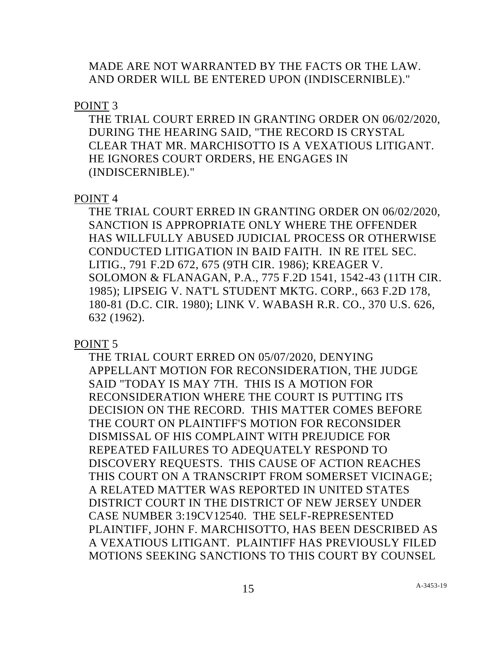MADE ARE NOT WARRANTED BY THE FACTS OR THE LAW. AND ORDER WILL BE ENTERED UPON (INDISCERNIBLE)."

POINT 3

THE TRIAL COURT ERRED IN GRANTING ORDER ON 06/02/2020, DURING THE HEARING SAID, "THE RECORD IS CRYSTAL CLEAR THAT MR. MARCHISOTTO IS A VEXATIOUS LITIGANT. HE IGNORES COURT ORDERS, HE ENGAGES IN (INDISCERNIBLE)."

# POINT 4

THE TRIAL COURT ERRED IN GRANTING ORDER ON 06/02/2020, SANCTION IS APPROPRIATE ONLY WHERE THE OFFENDER HAS WILLFULLY ABUSED JUDICIAL PROCESS OR OTHERWISE CONDUCTED LITIGATION IN BAID FAITH. IN RE ITEL SEC. LITIG., 791 F.2D 672, 675 (9TH CIR. 1986); KREAGER V. SOLOMON & FLANAGAN, P.A., 775 F.2D 1541, 1542-43 (11TH CIR. 1985); LIPSEIG V. NAT'L STUDENT MKTG. CORP., 663 F.2D 178, 180-81 (D.C. CIR. 1980); LINK V. WABASH R.R. CO., 370 U.S. 626, 632 (1962).

POINT 5

THE TRIAL COURT ERRED ON 05/07/2020, DENYING APPELLANT MOTION FOR RECONSIDERATION, THE JUDGE SAID "TODAY IS MAY 7TH. THIS IS A MOTION FOR RECONSIDERATION WHERE THE COURT IS PUTTING ITS DECISION ON THE RECORD. THIS MATTER COMES BEFORE THE COURT ON PLAINTIFF'S MOTION FOR RECONSIDER DISMISSAL OF HIS COMPLAINT WITH PREJUDICE FOR REPEATED FAILURES TO ADEQUATELY RESPOND TO DISCOVERY REQUESTS. THIS CAUSE OF ACTION REACHES THIS COURT ON A TRANSCRIPT FROM SOMERSET VICINAGE; A RELATED MATTER WAS REPORTED IN UNITED STATES DISTRICT COURT IN THE DISTRICT OF NEW JERSEY UNDER CASE NUMBER 3:19CV12540. THE SELF-REPRESENTED PLAINTIFF, JOHN F. MARCHISOTTO, HAS BEEN DESCRIBED AS A VEXATIOUS LITIGANT. PLAINTIFF HAS PREVIOUSLY FILED MOTIONS SEEKING SANCTIONS TO THIS COURT BY COUNSEL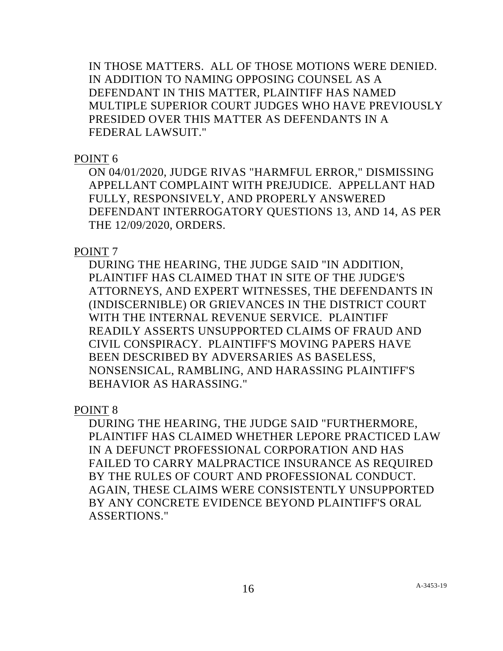IN THOSE MATTERS. ALL OF THOSE MOTIONS WERE DENIED. IN ADDITION TO NAMING OPPOSING COUNSEL AS A DEFENDANT IN THIS MATTER, PLAINTIFF HAS NAMED MULTIPLE SUPERIOR COURT JUDGES WHO HAVE PREVIOUSLY PRESIDED OVER THIS MATTER AS DEFENDANTS IN A FEDERAL LAWSUIT."

### POINT 6

ON 04/01/2020, JUDGE RIVAS "HARMFUL ERROR," DISMISSING APPELLANT COMPLAINT WITH PREJUDICE. APPELLANT HAD FULLY, RESPONSIVELY, AND PROPERLY ANSWERED DEFENDANT INTERROGATORY QUESTIONS 13, AND 14, AS PER THE 12/09/2020, ORDERS.

# POINT 7

DURING THE HEARING, THE JUDGE SAID "IN ADDITION, PLAINTIFF HAS CLAIMED THAT IN SITE OF THE JUDGE'S ATTORNEYS, AND EXPERT WITNESSES, THE DEFENDANTS IN (INDISCERNIBLE) OR GRIEVANCES IN THE DISTRICT COURT WITH THE INTERNAL REVENUE SERVICE. PLAINTIFF READILY ASSERTS UNSUPPORTED CLAIMS OF FRAUD AND CIVIL CONSPIRACY. PLAINTIFF'S MOVING PAPERS HAVE BEEN DESCRIBED BY ADVERSARIES AS BASELESS, NONSENSICAL, RAMBLING, AND HARASSING PLAINTIFF'S BEHAVIOR AS HARASSING."

POINT 8

DURING THE HEARING, THE JUDGE SAID "FURTHERMORE, PLAINTIFF HAS CLAIMED WHETHER LEPORE PRACTICED LAW IN A DEFUNCT PROFESSIONAL CORPORATION AND HAS FAILED TO CARRY MALPRACTICE INSURANCE AS REQUIRED BY THE RULES OF COURT AND PROFESSIONAL CONDUCT. AGAIN, THESE CLAIMS WERE CONSISTENTLY UNSUPPORTED BY ANY CONCRETE EVIDENCE BEYOND PLAINTIFF'S ORAL ASSERTIONS."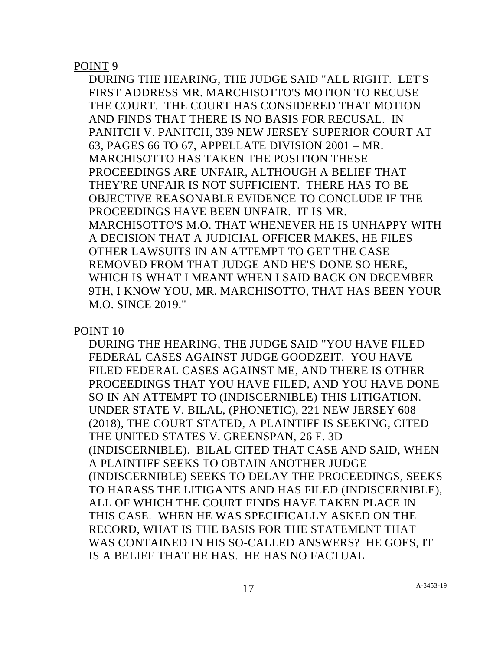POINT 9

DURING THE HEARING, THE JUDGE SAID "ALL RIGHT. LET'S FIRST ADDRESS MR. MARCHISOTTO'S MOTION TO RECUSE THE COURT. THE COURT HAS CONSIDERED THAT MOTION AND FINDS THAT THERE IS NO BASIS FOR RECUSAL. IN PANITCH V. PANITCH, 339 NEW JERSEY SUPERIOR COURT AT 63, PAGES 66 TO 67, APPELLATE DIVISION 2001 – MR. MARCHISOTTO HAS TAKEN THE POSITION THESE PROCEEDINGS ARE UNFAIR, ALTHOUGH A BELIEF THAT THEY'RE UNFAIR IS NOT SUFFICIENT. THERE HAS TO BE OBJECTIVE REASONABLE EVIDENCE TO CONCLUDE IF THE PROCEEDINGS HAVE BEEN UNFAIR. IT IS MR. MARCHISOTTO'S M.O. THAT WHENEVER HE IS UNHAPPY WITH A DECISION THAT A JUDICIAL OFFICER MAKES, HE FILES OTHER LAWSUITS IN AN ATTEMPT TO GET THE CASE REMOVED FROM THAT JUDGE AND HE'S DONE SO HERE, WHICH IS WHAT I MEANT WHEN I SAID BACK ON DECEMBER 9TH, I KNOW YOU, MR. MARCHISOTTO, THAT HAS BEEN YOUR M.O. SINCE 2019."

POINT 10

DURING THE HEARING, THE JUDGE SAID "YOU HAVE FILED FEDERAL CASES AGAINST JUDGE GOODZEIT. YOU HAVE FILED FEDERAL CASES AGAINST ME, AND THERE IS OTHER PROCEEDINGS THAT YOU HAVE FILED, AND YOU HAVE DONE SO IN AN ATTEMPT TO (INDISCERNIBLE) THIS LITIGATION. UNDER STATE V. BILAL, (PHONETIC), 221 NEW JERSEY 608 (2018), THE COURT STATED, A PLAINTIFF IS SEEKING, CITED THE UNITED STATES V. GREENSPAN, 26 F. 3D (INDISCERNIBLE). BILAL CITED THAT CASE AND SAID, WHEN A PLAINTIFF SEEKS TO OBTAIN ANOTHER JUDGE (INDISCERNIBLE) SEEKS TO DELAY THE PROCEEDINGS, SEEKS TO HARASS THE LITIGANTS AND HAS FILED (INDISCERNIBLE), ALL OF WHICH THE COURT FINDS HAVE TAKEN PLACE IN THIS CASE. WHEN HE WAS SPECIFICALLY ASKED ON THE RECORD, WHAT IS THE BASIS FOR THE STATEMENT THAT WAS CONTAINED IN HIS SO-CALLED ANSWERS? HE GOES, IT IS A BELIEF THAT HE HAS. HE HAS NO FACTUAL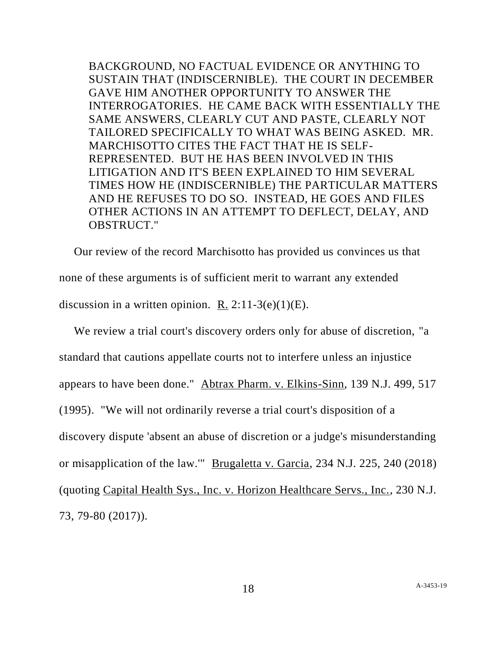BACKGROUND, NO FACTUAL EVIDENCE OR ANYTHING TO SUSTAIN THAT (INDISCERNIBLE). THE COURT IN DECEMBER GAVE HIM ANOTHER OPPORTUNITY TO ANSWER THE INTERROGATORIES. HE CAME BACK WITH ESSENTIALLY THE SAME ANSWERS, CLEARLY CUT AND PASTE, CLEARLY NOT TAILORED SPECIFICALLY TO WHAT WAS BEING ASKED. MR. MARCHISOTTO CITES THE FACT THAT HE IS SELF-REPRESENTED. BUT HE HAS BEEN INVOLVED IN THIS LITIGATION AND IT'S BEEN EXPLAINED TO HIM SEVERAL TIMES HOW HE (INDISCERNIBLE) THE PARTICULAR MATTERS AND HE REFUSES TO DO SO. INSTEAD, HE GOES AND FILES OTHER ACTIONS IN AN ATTEMPT TO DEFLECT, DELAY, AND OBSTRUCT."

Our review of the record Marchisotto has provided us convinces us that none of these arguments is of sufficient merit to warrant any extended discussion in a written opinion. R.  $2:11-3(e)(1)(E)$ .

We review a trial court's discovery orders only for abuse of discretion, "a standard that cautions appellate courts not to interfere unless an injustice appears to have been done." Abtrax Pharm. v. Elkins-Sinn, 139 N.J. 499, 517 (1995). "We will not ordinarily reverse a trial court's disposition of a discovery dispute 'absent an abuse of discretion or a judge's misunderstanding or misapplication of the law.'" Brugaletta v. Garcia, 234 N.J. 225, 240 (2018) (quoting Capital Health Sys., Inc. v. Horizon Healthcare Servs., Inc., 230 N.J. 73, 79-80 (2017)).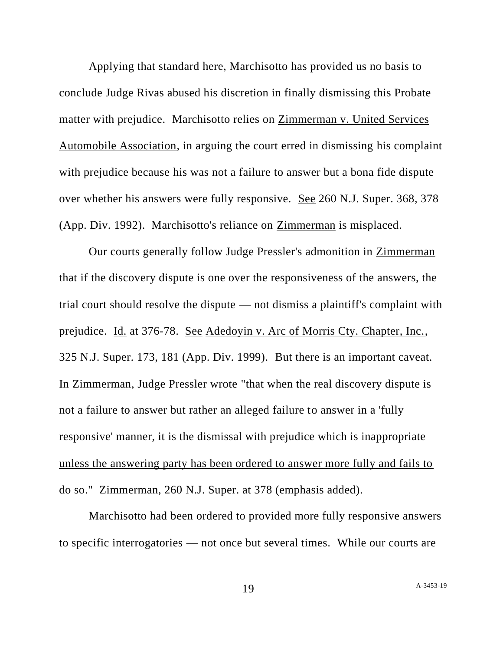Applying that standard here, Marchisotto has provided us no basis to conclude Judge Rivas abused his discretion in finally dismissing this Probate matter with prejudice. Marchisotto relies on Zimmerman v. United Services Automobile Association, in arguing the court erred in dismissing his complaint with prejudice because his was not a failure to answer but a bona fide dispute over whether his answers were fully responsive. See 260 N.J. Super. 368, 378 (App. Div. 1992). Marchisotto's reliance on Zimmerman is misplaced.

Our courts generally follow Judge Pressler's admonition in Zimmerman that if the discovery dispute is one over the responsiveness of the answers, the trial court should resolve the dispute — not dismiss a plaintiff's complaint with prejudice. Id. at 376-78. See Adedoyin v. Arc of Morris Cty. Chapter, Inc., 325 N.J. Super. 173, 181 (App. Div. 1999). But there is an important caveat. In Zimmerman, Judge Pressler wrote "that when the real discovery dispute is not a failure to answer but rather an alleged failure to answer in a 'fully responsive' manner, it is the dismissal with prejudice which is inappropriate unless the answering party has been ordered to answer more fully and fails to do so." Zimmerman, 260 N.J. Super. at 378 (emphasis added).

Marchisotto had been ordered to provided more fully responsive answers to specific interrogatories — not once but several times. While our courts are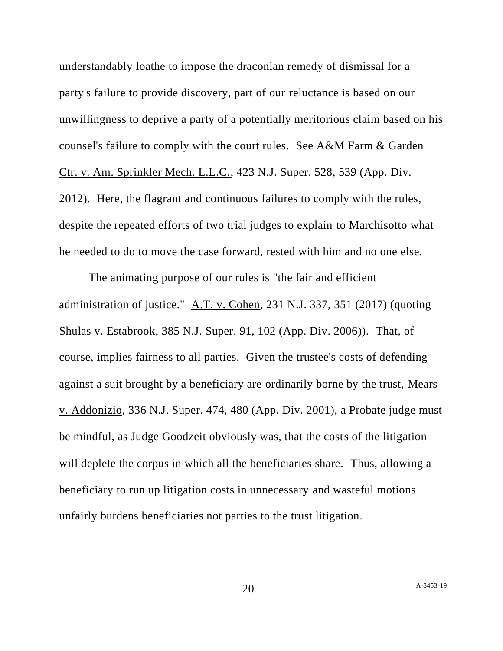understandably loathe to impose the draconian remedy of dismissal for a party's failure to provide discovery, part of our reluctance is based on our unwillingness to deprive a party of a potentially meritorious claim based on his counsel's failure to comply with the court rules. See A&M Farm & Garden Ctr. v. Am. Sprinkler Mech. L.L.C., 423 N.J. Super. 528, 539 (App. Div. 2012). Here, the flagrant and continuous failures to comply with the rules, despite the repeated efforts of two trial judges to explain to Marchisotto what he needed to do to move the case forward, rested with him and no one else.

The animating purpose of our rules is "the fair and efficient administration of justice." A.T. v. Cohen, 231 N.J. 337, 351 (2017) (quoting Shulas v. Estabrook, 385 N.J. Super. 91, 102 (App. Div. 2006)). That, of course, implies fairness to all parties. Given the trustee's costs of defending against a suit brought by a beneficiary are ordinarily borne by the trust, Mears v. Addonizio, 336 N.J. Super. 474, 480 (App. Div. 2001), a Probate judge must be mindful, as Judge Goodzeit obviously was, that the costs of the litigation will deplete the corpus in which all the beneficiaries share. Thus, allowing a beneficiary to run up litigation costs in unnecessary and wasteful motions unfairly burdens beneficiaries not parties to the trust litigation.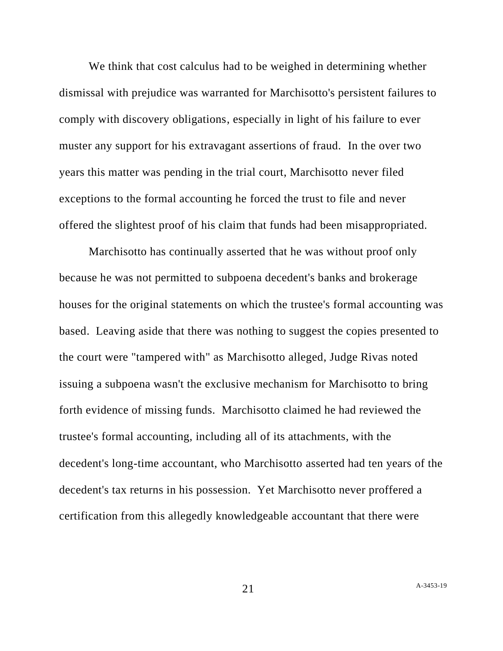We think that cost calculus had to be weighed in determining whether dismissal with prejudice was warranted for Marchisotto's persistent failures to comply with discovery obligations, especially in light of his failure to ever muster any support for his extravagant assertions of fraud. In the over two years this matter was pending in the trial court, Marchisotto never filed exceptions to the formal accounting he forced the trust to file and never offered the slightest proof of his claim that funds had been misappropriated.

Marchisotto has continually asserted that he was without proof only because he was not permitted to subpoena decedent's banks and brokerage houses for the original statements on which the trustee's formal accounting was based. Leaving aside that there was nothing to suggest the copies presented to the court were "tampered with" as Marchisotto alleged, Judge Rivas noted issuing a subpoena wasn't the exclusive mechanism for Marchisotto to bring forth evidence of missing funds. Marchisotto claimed he had reviewed the trustee's formal accounting, including all of its attachments, with the decedent's long-time accountant, who Marchisotto asserted had ten years of the decedent's tax returns in his possession. Yet Marchisotto never proffered a certification from this allegedly knowledgeable accountant that there were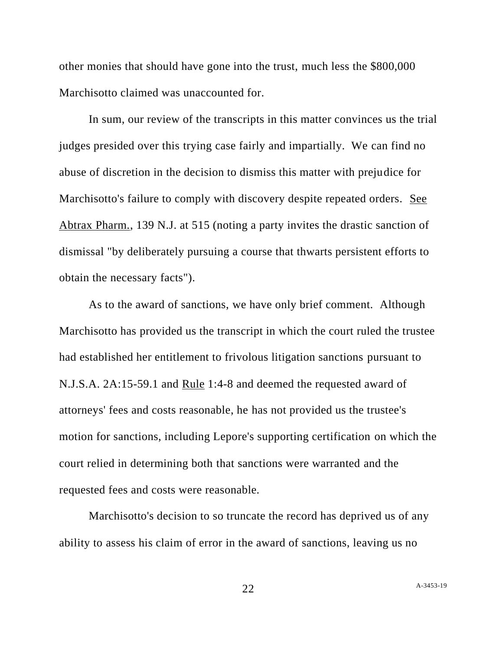other monies that should have gone into the trust, much less the \$800,000 Marchisotto claimed was unaccounted for.

In sum, our review of the transcripts in this matter convinces us the trial judges presided over this trying case fairly and impartially. We can find no abuse of discretion in the decision to dismiss this matter with prejudice for Marchisotto's failure to comply with discovery despite repeated orders. See Abtrax Pharm., 139 N.J. at 515 (noting a party invites the drastic sanction of dismissal "by deliberately pursuing a course that thwarts persistent efforts to obtain the necessary facts").

As to the award of sanctions, we have only brief comment. Although Marchisotto has provided us the transcript in which the court ruled the trustee had established her entitlement to frivolous litigation sanctions pursuant to N.J.S.A. 2A:15-59.1 and Rule 1:4-8 and deemed the requested award of attorneys' fees and costs reasonable, he has not provided us the trustee's motion for sanctions, including Lepore's supporting certification on which the court relied in determining both that sanctions were warranted and the requested fees and costs were reasonable.

Marchisotto's decision to so truncate the record has deprived us of any ability to assess his claim of error in the award of sanctions, leaving us no